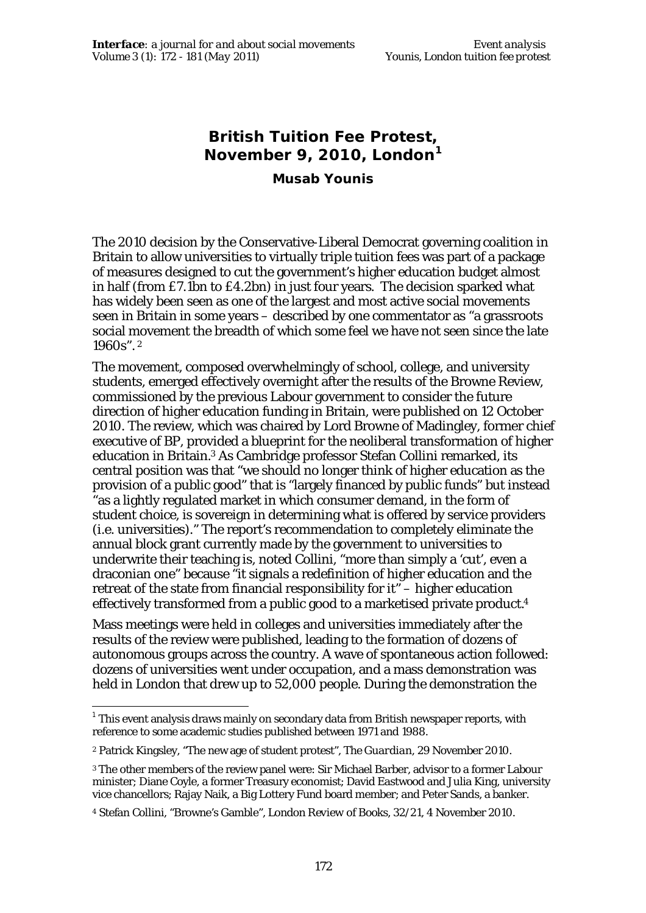# **British Tuition Fee Protest, November 9, 2010, London<sup>1</sup>**

**Musab Younis**

The 2010 decision by the Conservative-Liberal Democrat governing coalition in Britain to allow universities to virtually triple tuition fees was part of a package of measures designed to cut the government's higher education budget almost in half (from £7.1bn to £4.2bn) in just four years. The decision sparked what has widely been seen as one of the largest and most active social movements seen in Britain in some years – described by one commentator as "a grassroots social movement the breadth of which some feel we have not seen since the late 1960s". <sup>2</sup>

The movement, composed overwhelmingly of school, college, and university students, emerged effectively overnight after the results of the Browne Review, commissioned by the previous Labour government to consider the future direction of higher education funding in Britain, were published on 12 October 2010. The review, which was chaired by Lord Browne of Madingley, former chief executive of BP, provided a blueprint for the neoliberal transformation of higher education in Britain.3 As Cambridge professor Stefan Collini remarked, its central position was that "we should no longer think of higher education as the provision of a public good" that is "largely financed by public funds" but instead "as a lightly regulated market in which consumer demand, in the form of student choice, is sovereign in determining what is offered by service providers (i.e. universities)." The report's recommendation to completely eliminate the annual block grant currently made by the government to universities to underwrite their teaching is, noted Collini, "more than simply a 'cut', even a draconian one" because "it signals a redefinition of higher education and the retreat of the state from financial responsibility for it" – higher education effectively transformed from a public good to a marketised private product.<sup>4</sup>

Mass meetings were held in colleges and universities immediately after the results of the review were published, leading to the formation of dozens of autonomous groups across the country. A wave of spontaneous action followed: dozens of universities went under occupation, and a mass demonstration was held in London that drew up to 52,000 people. During the demonstration the

 1 This event analysis draws mainly on secondary data from British newspaper reports, with reference to some academic studies published between 1971 and 1988.

<sup>2</sup> Patrick Kingsley, "The new age of student protest", *The Guardian*, 29 November 2010.

<sup>3</sup> The other members of the review panel were: Sir Michael Barber, advisor to a former Labour minister; Diane Coyle, a former Treasury economist; David Eastwood and Julia King, university vice chancellors; Rajay Naik, a Big Lottery Fund board member; and Peter Sands, a banker.

<sup>4</sup> Stefan Collini, "Browne's Gamble", *London Review of Books*, 32/21, 4 November 2010.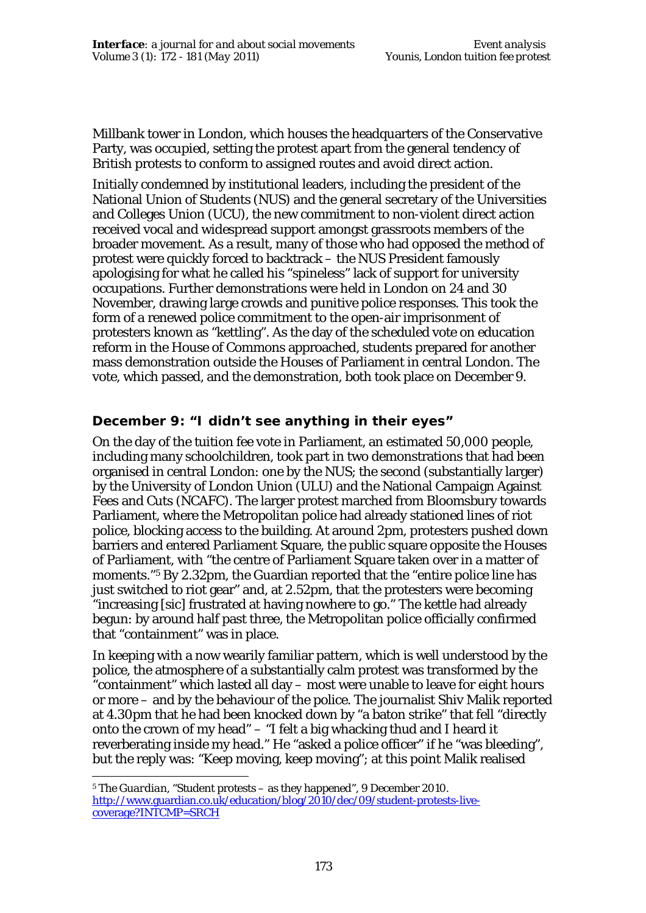Millbank tower in London, which houses the headquarters of the Conservative Party, was occupied, setting the protest apart from the general tendency of British protests to conform to assigned routes and avoid direct action.

Initially condemned by institutional leaders, including the president of the National Union of Students (NUS) and the general secretary of the Universities and Colleges Union (UCU), the new commitment to non-violent direct action received vocal and widespread support amongst grassroots members of the broader movement. As a result, many of those who had opposed the method of protest were quickly forced to backtrack – the NUS President famously apologising for what he called his "spineless" lack of support for university occupations. Further demonstrations were held in London on 24 and 30 November, drawing large crowds and punitive police responses. This took the form of a renewed police commitment to the open-air imprisonment of protesters known as "kettling". As the day of the scheduled vote on education reform in the House of Commons approached, students prepared for another mass demonstration outside the Houses of Parliament in central London. The vote, which passed, and the demonstration, both took place on December 9.

## **December 9: "I didn't see anything in their eyes"**

On the day of the tuition fee vote in Parliament, an estimated 50,000 people, including many schoolchildren, took part in two demonstrations that had been organised in central London: one by the NUS; the second (substantially larger) by the University of London Union (ULU) and the National Campaign Against Fees and Cuts (NCAFC). The larger protest marched from Bloomsbury towards Parliament, where the Metropolitan police had already stationed lines of riot police, blocking access to the building. At around 2pm, protesters pushed down barriers and entered Parliament Square, the public square opposite the Houses of Parliament, with "the centre of Parliament Square taken over in a matter of moments."5 By 2.32pm, the Guardian reported that the "entire police line has just switched to riot gear" and, at 2.52pm, that the protesters were becoming "increasing [*sic*] frustrated at having nowhere to go." The kettle had already begun: by around half past three, the Metropolitan police officially confirmed that "containment" was in place.

In keeping with a now wearily familiar pattern, which is well understood by the police, the atmosphere of a substantially calm protest was transformed by the "containment" which lasted all day – most were unable to leave for eight hours or more – and by the behaviour of the police. The journalist Shiv Malik reported at 4.30pm that he had been knocked down by "a baton strike" that fell "directly onto the crown of my head" – "I felt a big whacking thud and I heard it reverberating inside my head." He "asked a police officer" if he "was bleeding", but the reply was: "Keep moving, keep moving"; at this point Malik realised

 $\overline{a}$ <sup>5</sup> *The Guardian*, "Student protests – as they happened", 9 December 2010. http://www.guardian.co.uk/education/blog/2010/dec/09/student-protests-livecoverage?INTCMP=SRCH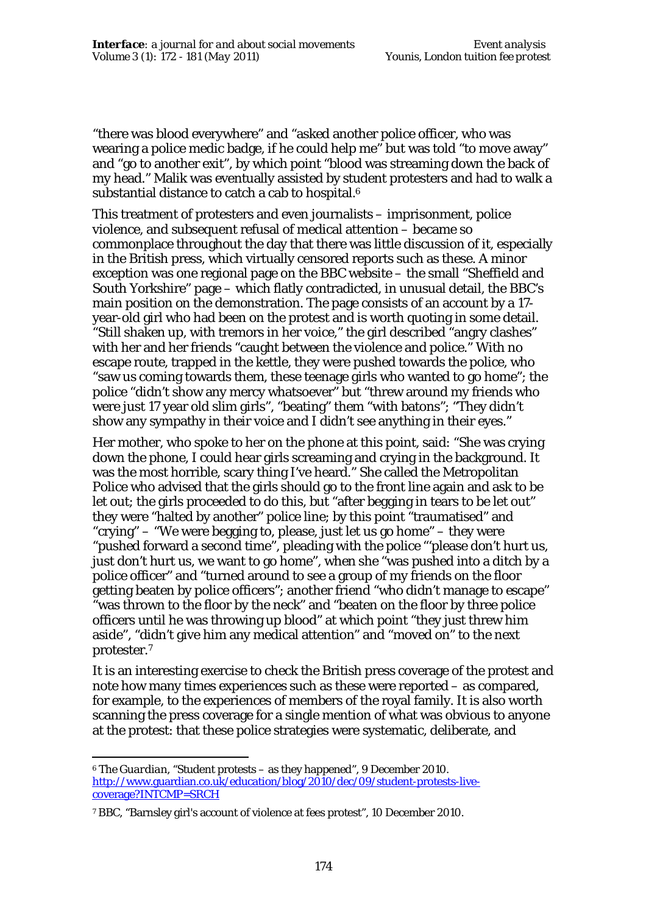"there was blood everywhere" and "asked another police officer, who was wearing a police medic badge, if he could help me" but was told "to move away" and "go to another exit", by which point "blood was streaming down the back of my head." Malik was eventually assisted by student protesters and had to walk a substantial distance to catch a cab to hospital.<sup>6</sup>

This treatment of protesters and even journalists – imprisonment, police violence, and subsequent refusal of medical attention – became so commonplace throughout the day that there was little discussion of it, especially in the British press, which virtually censored reports such as these. A minor exception was one regional page on the BBC website – the small "Sheffield and South Yorkshire" page – which flatly contradicted, in unusual detail, the BBC's main position on the demonstration. The page consists of an account by a 17 year-old girl who had been on the protest and is worth quoting in some detail. "Still shaken up, with tremors in her voice," the girl described "angry clashes" with her and her friends "caught between the violence and police." With no escape route, trapped in the kettle, they were pushed towards the police, who "saw us coming towards them, these teenage girls who wanted to go home"; the police "didn't show any mercy whatsoever" but "threw around my friends who were just 17 year old slim girls", "beating" them "with batons"; "They didn't show any sympathy in their voice and I didn't see anything in their eyes."

Her mother, who spoke to her on the phone at this point, said: "She was crying down the phone, I could hear girls screaming and crying in the background. It was the most horrible, scary thing I've heard." She called the Metropolitan Police who advised that the girls should go to the front line again and ask to be let out; the girls proceeded to do this, but "after begging in tears to be let out" they were "halted by another" police line; by this point "traumatised" and "crying" – "We were begging to, please, just let us go home" – they were "pushed forward a second time", pleading with the police "'please don't hurt us, just don't hurt us, we want to go home", when she "was pushed into a ditch by a police officer" and "turned around to see a group of my friends on the floor getting beaten by police officers"; another friend "who didn't manage to escape" "was thrown to the floor by the neck" and "beaten on the floor by three police officers until he was throwing up blood" at which point "they just threw him aside", "didn't give him any medical attention" and "moved on" to the next protester.<sup>7</sup>

It is an interesting exercise to check the British press coverage of the protest and note how many times experiences such as these were reported – as compared, for example, to the experiences of members of the royal family. It is also worth scanning the press coverage for a single mention of what was obvious to anyone at the protest: that these police strategies were systematic, deliberate, and

 $\overline{a}$ <sup>6</sup> *The Guardian*, "Student protests – as they happened", 9 December 2010. http://www.guardian.co.uk/education/blog/2010/dec/09/student-protests-livecoverage?INTCMP=SRCH

<sup>7</sup> BBC, "Barnsley girl's account of violence at fees protest", 10 December 2010.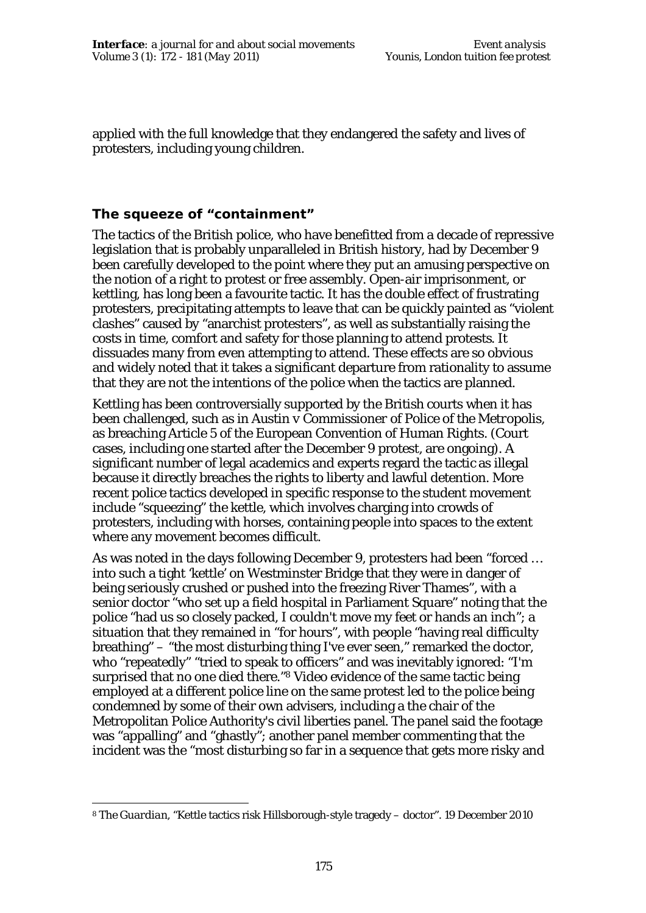applied with the full knowledge that they endangered the safety and lives of protesters, including young children.

### **The squeeze of "containment"**

The tactics of the British police, who have benefitted from a decade of repressive legislation that is probably unparalleled in British history, had by December 9 been carefully developed to the point where they put an amusing perspective on the notion of a right to protest or free assembly. Open-air imprisonment, or kettling, has long been a favourite tactic. It has the double effect of frustrating protesters, precipitating attempts to leave that can be quickly painted as "violent clashes" caused by "anarchist protesters", as well as substantially raising the costs in time, comfort and safety for those planning to attend protests. It dissuades many from even attempting to attend. These effects are so obvious and widely noted that it takes a significant departure from rationality to assume that they are not the intentions of the police when the tactics are planned.

Kettling has been controversially supported by the British courts when it has been challenged, such as in *Austin v Commissioner of Police of the Metropolis*, as breaching Article 5 of the European Convention of Human Rights. (Court cases, including one started after the December 9 protest, are ongoing). A significant number of legal academics and experts regard the tactic as illegal because it directly breaches the rights to liberty and lawful detention. More recent police tactics developed in specific response to the student movement include "squeezing" the kettle, which involves charging into crowds of protesters, including with horses, containing people into spaces to the extent where any movement becomes difficult.

As was noted in the days following December 9, protesters had been "forced … into such a tight 'kettle' on Westminster Bridge that they were in danger of being seriously crushed or pushed into the freezing River Thames", with a senior doctor "who set up a field hospital in Parliament Square" noting that the police "had us so closely packed, I couldn't move my feet or hands an inch"; a situation that they remained in "for hours", with people "having real difficulty breathing" – "the most disturbing thing I've ever seen," remarked the doctor, who "repeatedly" "tried to speak to officers" and was inevitably ignored: "I'm surprised that no one died there."<sup>8</sup> Video evidence of the same tactic being employed at a different police line on the same protest led to the police being condemned by some of their own advisers, including a the chair of the Metropolitan Police Authority's civil liberties panel. The panel said the footage was "appalling" and "ghastly"; another panel member commenting that the incident was the "most disturbing so far in a sequence that gets more risky and

 $\overline{a}$ <sup>8</sup> *The Guardian*, "Kettle tactics risk Hillsborough-style tragedy – doctor". 19 December 2010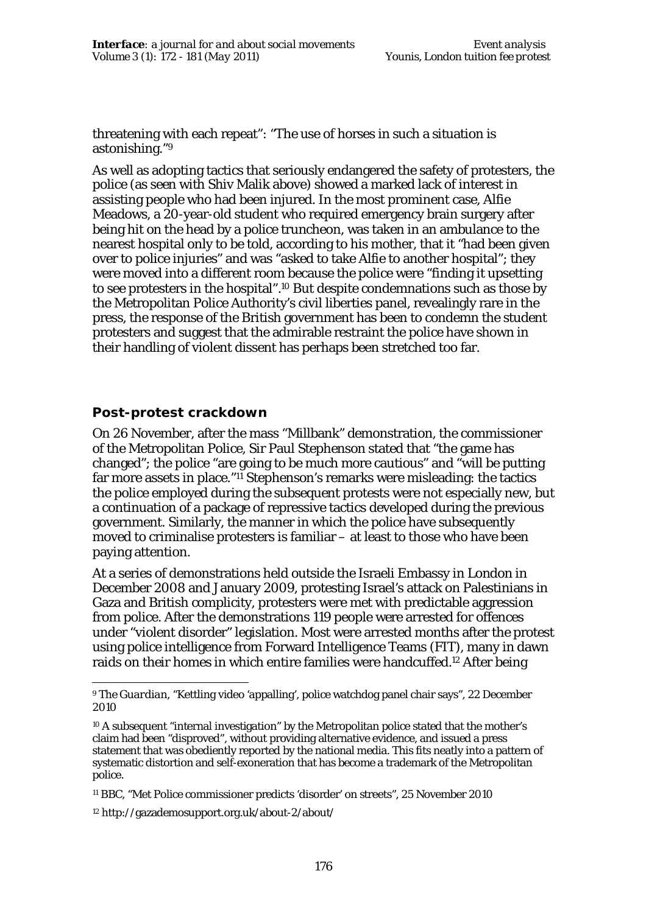threatening with each repeat": "The use of horses in such a situation is astonishing."<sup>9</sup>

As well as adopting tactics that seriously endangered the safety of protesters, the police (as seen with Shiv Malik above) showed a marked lack of interest in assisting people who had been injured. In the most prominent case, Alfie Meadows, a 20-year-old student who required emergency brain surgery after being hit on the head by a police truncheon, was taken in an ambulance to the nearest hospital only to be told, according to his mother, that it "had been given over to police injuries" and was "asked to take Alfie to another hospital"; they were moved into a different room because the police were "finding it upsetting to see protesters in the hospital".10 But despite condemnations such as those by the Metropolitan Police Authority's civil liberties panel, revealingly rare in the press, the response of the British government has been to condemn the student protesters and suggest that the admirable restraint the police have shown in their handling of violent dissent has perhaps been stretched too far.

#### **Post-protest crackdown**

 $\ddot{\phantom{a}}$ 

On 26 November, after the mass "Millbank" demonstration, the commissioner of the Metropolitan Police, Sir Paul Stephenson stated that "the game has changed"; the police "are going to be much more cautious" and "will be putting far more assets in place."<sup>11</sup> Stephenson's remarks were misleading: the tactics the police employed during the subsequent protests were not especially new, but a continuation of a package of repressive tactics developed during the previous government. Similarly, the manner in which the police have subsequently moved to criminalise protesters is familiar – at least to those who have been paying attention.

At a series of demonstrations held outside the Israeli Embassy in London in December 2008 and January 2009, protesting Israel's attack on Palestinians in Gaza and British complicity, protesters were met with predictable aggression from police. After the demonstrations 119 people were arrested for offences under "violent disorder" legislation. Most were arrested months after the protest using police intelligence from Forward Intelligence Teams (FIT), many in dawn raids on their homes in which entire families were handcuffed.12 After being

<sup>9</sup> *The Guardian*, "Kettling video 'appalling', police watchdog panel chair says", 22 December 2010

<sup>10</sup> A subsequent "internal investigation" by the Metropolitan police stated that the mother's claim had been "disproved", without providing alternative evidence, and issued a press statement that was obediently reported by the national media. This fits neatly into a pattern of systematic distortion and self-exoneration that has become a trademark of the Metropolitan police.

<sup>11</sup> BBC, "Met Police commissioner predicts 'disorder' on streets", 25 November 2010

<sup>12</sup> http://gazademosupport.org.uk/about-2/about/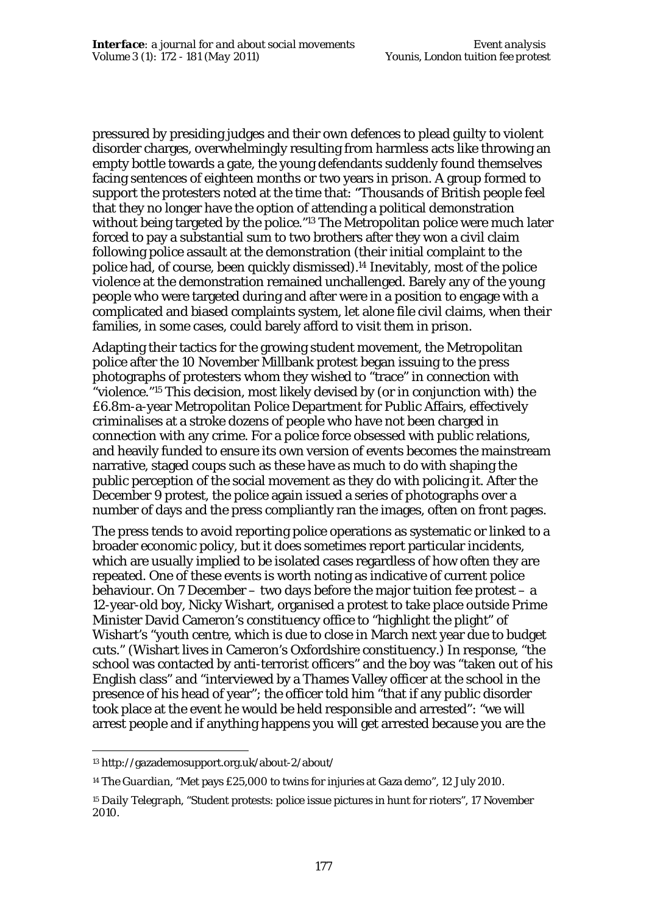pressured by presiding judges and their own defences to plead guilty to violent disorder charges, overwhelmingly resulting from harmless acts like throwing an empty bottle towards a gate, the young defendants suddenly found themselves facing sentences of eighteen months or two years in prison. A group formed to support the protesters noted at the time that: "Thousands of British people feel that they no longer have the option of attending a political demonstration without being targeted by the police."<sup>13</sup> The Metropolitan police were much later forced to pay a substantial sum to two brothers after they won a civil claim following police assault at the demonstration (their initial complaint to the police had, of course, been quickly dismissed).14 Inevitably, most of the police violence at the demonstration remained unchallenged. Barely any of the young people who were targeted during and after were in a position to engage with a complicated and biased complaints system, let alone file civil claims, when their families, in some cases, could barely afford to visit them in prison.

Adapting their tactics for the growing student movement, the Metropolitan police after the 10 November Millbank protest began issuing to the press photographs of protesters whom they wished to "trace" in connection with "violence."15 This decision, most likely devised by (or in conjunction with) the £6.8m-a-year Metropolitan Police Department for Public Affairs, effectively criminalises at a stroke dozens of people who have not been charged in connection with any crime. For a police force obsessed with public relations, and heavily funded to ensure its own version of events becomes the mainstream narrative, staged coups such as these have as much to do with shaping the public perception of the social movement as they do with policing it. After the December 9 protest, the police again issued a series of photographs over a number of days and the press compliantly ran the images, often on front pages.

The press tends to avoid reporting police operations as systematic or linked to a broader economic policy, but it does sometimes report particular incidents, which are usually implied to be isolated cases regardless of how often they are repeated. One of these events is worth noting as indicative of current police behaviour. On 7 December – two days before the major tuition fee protest – a 12-year-old boy, Nicky Wishart, organised a protest to take place outside Prime Minister David Cameron's constituency office to "highlight the plight" of Wishart's "youth centre, which is due to close in March next year due to budget cuts." (Wishart lives in Cameron's Oxfordshire constituency.) In response, "the school was contacted by anti-terrorist officers" and the boy was "taken out of his English class" and "interviewed by a Thames Valley officer at the school in the presence of his head of year"; the officer told him "that if any public disorder took place at the event he would be held responsible and arrested": "we will arrest people and if anything happens you will get arrested because you are the

 $\overline{a}$ 

<sup>13</sup> http://gazademosupport.org.uk/about-2/about/

<sup>14</sup> *The Guardian*, "Met pays £25,000 to twins for injuries at Gaza demo", 12 July 2010.

<sup>15</sup> *Daily Telegraph*, "Student protests: police issue pictures in hunt for rioters", 17 November 2010.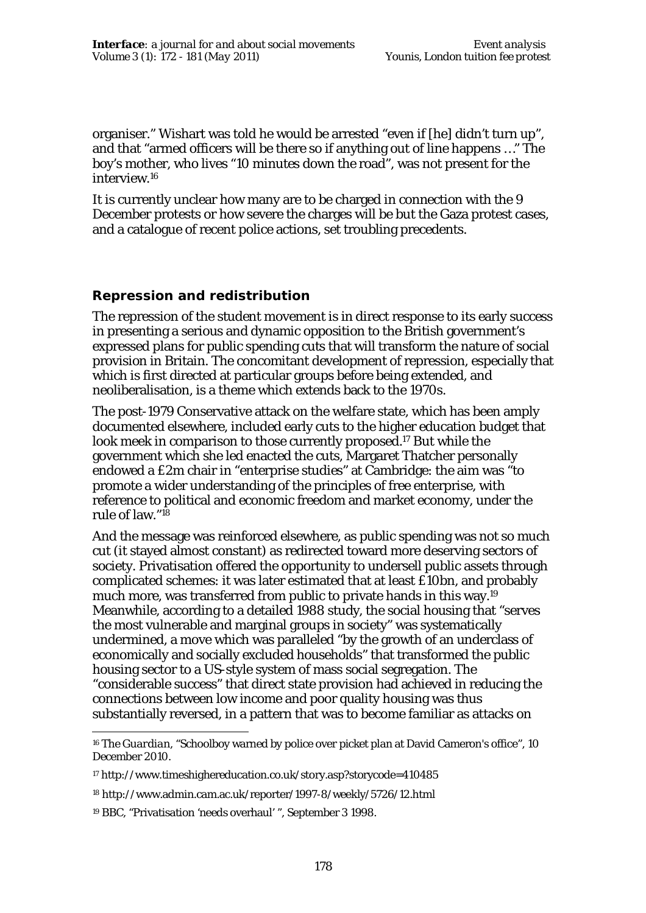organiser." Wishart was told he would be arrested "even if [he] didn't turn up", and that "armed officers will be there so if anything out of line happens …" The boy's mother, who lives "10 minutes down the road", was not present for the interview.<sup>16</sup>

It is currently unclear how many are to be charged in connection with the 9 December protests or how severe the charges will be but the Gaza protest cases, and a catalogue of recent police actions, set troubling precedents.

#### **Repression and redistribution**

The repression of the student movement is in direct response to its early success in presenting a serious and dynamic opposition to the British government's expressed plans for public spending cuts that will transform the nature of social provision in Britain. The concomitant development of repression, especially that which is first directed at particular groups before being extended, and neoliberalisation, is a theme which extends back to the 1970s.

The post-1979 Conservative attack on the welfare state, which has been amply documented elsewhere, included early cuts to the higher education budget that look meek in comparison to those currently proposed.17 But while the government which she led enacted the cuts, Margaret Thatcher personally endowed a £2m chair in "enterprise studies" at Cambridge: the aim was "to promote a wider understanding of the principles of free enterprise, with reference to political and economic freedom and market economy, under the rule of law."<sup>18</sup>

And the message was reinforced elsewhere, as public spending was not so much cut (it stayed almost constant) as redirected toward more deserving sectors of society. Privatisation offered the opportunity to undersell public assets through complicated schemes: it was later estimated that at least £10bn, and probably much more, was transferred from public to private hands in this way.<sup>19</sup> Meanwhile, according to a detailed 1988 study, the social housing that "serves the most vulnerable and marginal groups in society" was systematically undermined, a move which was paralleled "by the growth of an underclass of economically and socially excluded households" that transformed the public housing sector to a US-style system of mass social segregation. The "considerable success" that direct state provision had achieved in reducing the connections between low income and poor quality housing was thus substantially reversed, in a pattern that was to become familiar as attacks on

 $\overline{a}$ <sup>16</sup> *The Guardian*, "Schoolboy warned by police over picket plan at David Cameron's office", 10 December 2010.

<sup>17</sup> http://www.timeshighereducation.co.uk/story.asp?storycode=410485

<sup>18</sup> http://www.admin.cam.ac.uk/reporter/1997-8/weekly/5726/12.html

<sup>19</sup> BBC, "Privatisation 'needs overhaul' ", September 3 1998.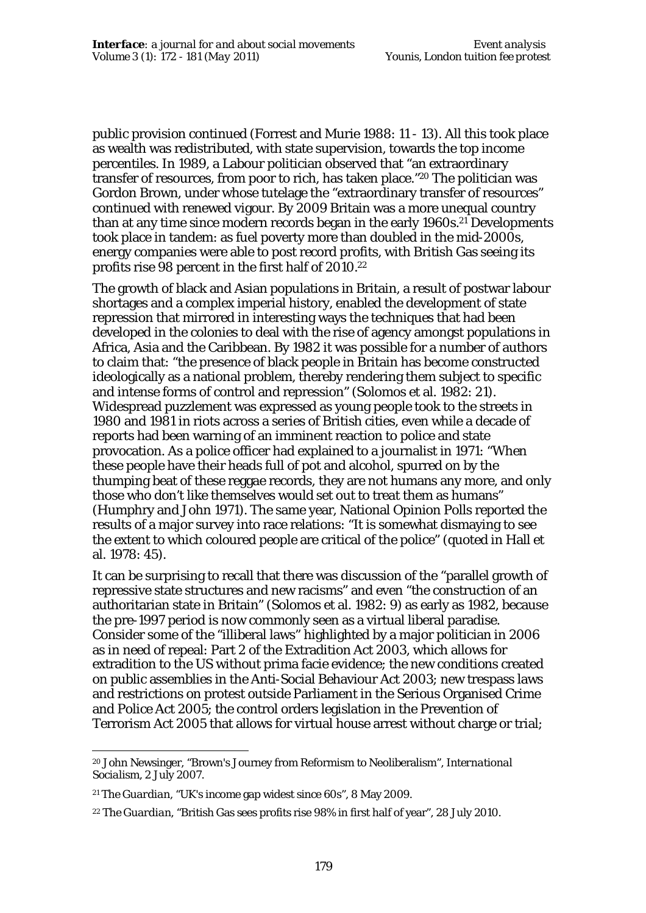public provision continued (Forrest and Murie 1988: 11 - 13). All this took place as wealth was redistributed, with state supervision, towards the top income percentiles. In 1989, a Labour politician observed that "an extraordinary transfer of resources, from poor to rich, has taken place."20 The politician was Gordon Brown, under whose tutelage the "extraordinary transfer of resources" continued with renewed vigour. By 2009 Britain was a more unequal country than at any time since modern records began in the early 1960s.21 Developments took place in tandem: as fuel poverty more than doubled in the mid-2000s, energy companies were able to post record profits, with British Gas seeing its profits rise 98 percent in the first half of 2010.<sup>22</sup>

The growth of black and Asian populations in Britain, a result of postwar labour shortages and a complex imperial history, enabled the development of state repression that mirrored in interesting ways the techniques that had been developed in the colonies to deal with the rise of agency amongst populations in Africa, Asia and the Caribbean. By 1982 it was possible for a number of authors to claim that: "the presence of black people in Britain has become constructed ideologically as a national problem, thereby rendering them subject to specific and intense forms of control and repression" (Solomos et al. 1982: 21). Widespread puzzlement was expressed as young people took to the streets in 1980 and 1981 in riots across a series of British cities, even while a decade of reports had been warning of an imminent reaction to police and state provocation. As a police officer had explained to a journalist in 1971: "When these people have their heads full of pot and alcohol, spurred on by the thumping beat of these reggae records, they are not humans any more, and only those who don't like themselves would set out to treat them as humans" (Humphry and John 1971). The same year, National Opinion Polls reported the results of a major survey into race relations: "It is somewhat dismaying to see the extent to which coloured people are critical of the police" (quoted in Hall et al. 1978: 45).

It can be surprising to recall that there was discussion of the "parallel growth of repressive state structures and new racisms" and even "the construction of an authoritarian state in Britain" (Solomos et al. 1982: 9) as early as 1982, because the pre-1997 period is now commonly seen as a virtual liberal paradise. Consider some of the "illiberal laws" highlighted by a major politician in 2006 as in need of repeal: Part 2 of the Extradition Act 2003, which allows for extradition to the US without prima facie evidence; the new conditions created on public assemblies in the Anti-Social Behaviour Act 2003; new trespass laws and restrictions on protest outside Parliament in the Serious Organised Crime and Police Act 2005; the control orders legislation in the Prevention of Terrorism Act 2005 that allows for virtual house arrest without charge or trial;

 $\overline{a}$ <sup>20</sup> John Newsinger, "Brown's Journey from Reformism to Neoliberalism", *International Socialism*, 2 July 2007.

<sup>21</sup> *The Guardian*, "UK's income gap widest since 60s", 8 May 2009.

<sup>22</sup> *The Guardian*, "British Gas sees profits rise 98% in first half of year", 28 July 2010.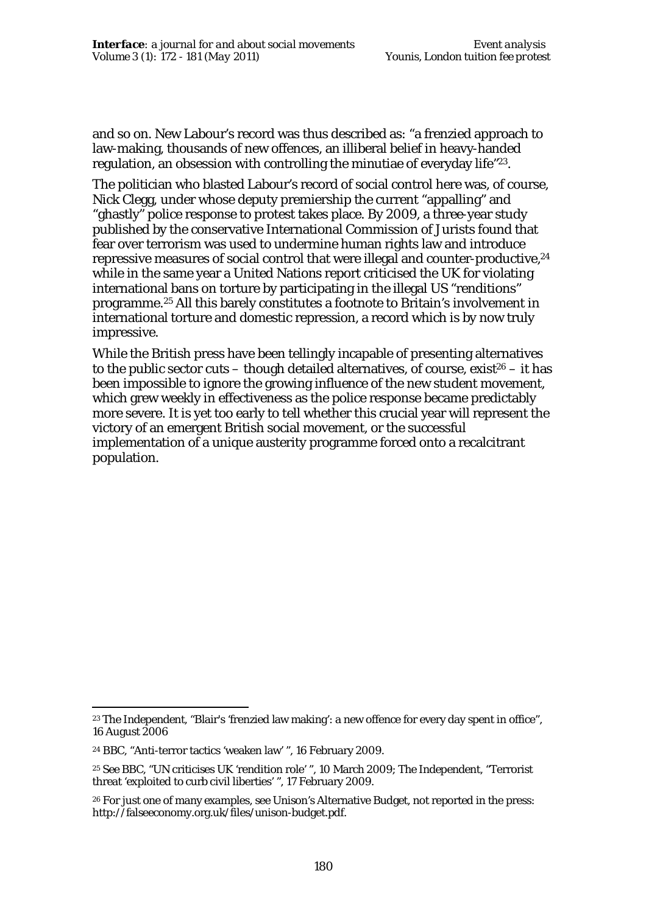and so on. New Labour's record was thus described as: "a frenzied approach to law-making, thousands of new offences, an illiberal belief in heavy-handed regulation, an obsession with controlling the minutiae of everyday life"23.

The politician who blasted Labour's record of social control here was, of course, Nick Clegg, under whose deputy premiership the current "appalling" and "ghastly" police response to protest takes place. By 2009, a three-year study published by the conservative International Commission of Jurists found that fear over terrorism was used to undermine human rights law and introduce repressive measures of social control that were illegal and counter-productive,<sup>24</sup> while in the same year a United Nations report criticised the UK for violating international bans on torture by participating in the illegal US "renditions" programme.25 All this barely constitutes a footnote to Britain's involvement in international torture and domestic repression, a record which is by now truly impressive.

While the British press have been tellingly incapable of presenting alternatives to the public sector cuts – though detailed alternatives, of course, exist<sup>26</sup> – it has been impossible to ignore the growing influence of the new student movement, which grew weekly in effectiveness as the police response became predictably more severe. It is yet too early to tell whether this crucial year will represent the victory of an emergent British social movement, or the successful implementation of a unique austerity programme forced onto a recalcitrant population.

 $\ddot{\phantom{a}}$ 

<sup>23</sup> *The Independent*, "Blair's 'frenzied law making': a new offence for every day spent in office", 16 August 2006

<sup>24</sup> BBC, "Anti-terror tactics 'weaken law' ", 16 February 2009.

<sup>25</sup> See BBC, "UN criticises UK 'rendition role' ", 10 March 2009; *The Independent*, "Terrorist threat 'exploited to curb civil liberties' ", 17 February 2009.

<sup>26</sup> For just one of many examples, see Unison's Alternative Budget, not reported in the press: http://falseeconomy.org.uk/files/unison-budget.pdf.